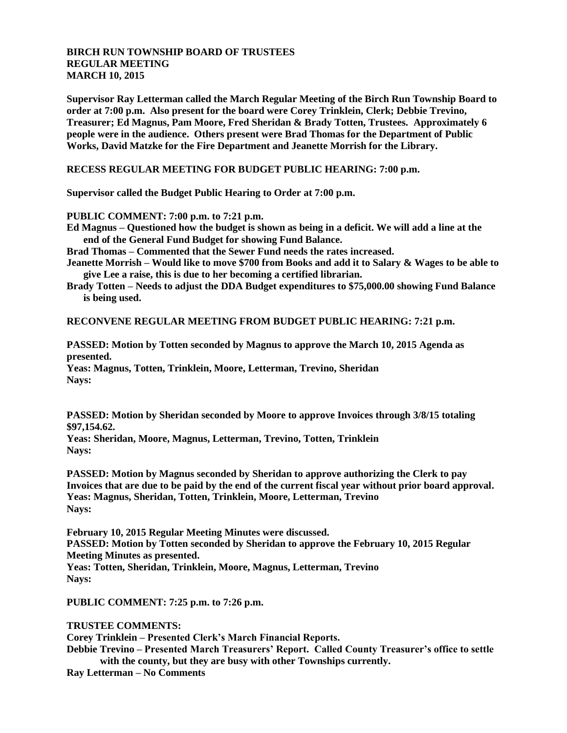## **BIRCH RUN TOWNSHIP BOARD OF TRUSTEES REGULAR MEETING MARCH 10, 2015**

**Supervisor Ray Letterman called the March Regular Meeting of the Birch Run Township Board to order at 7:00 p.m. Also present for the board were Corey Trinklein, Clerk; Debbie Trevino, Treasurer; Ed Magnus, Pam Moore, Fred Sheridan & Brady Totten, Trustees. Approximately 6 people were in the audience. Others present were Brad Thomas for the Department of Public Works, David Matzke for the Fire Department and Jeanette Morrish for the Library.**

**RECESS REGULAR MEETING FOR BUDGET PUBLIC HEARING: 7:00 p.m.**

**Supervisor called the Budget Public Hearing to Order at 7:00 p.m.**

**PUBLIC COMMENT: 7:00 p.m. to 7:21 p.m.**

**Ed Magnus – Questioned how the budget is shown as being in a deficit. We will add a line at the end of the General Fund Budget for showing Fund Balance.**

**Brad Thomas – Commented that the Sewer Fund needs the rates increased.**

**Jeanette Morrish – Would like to move \$700 from Books and add it to Salary & Wages to be able to give Lee a raise, this is due to her becoming a certified librarian.**

**Brady Totten – Needs to adjust the DDA Budget expenditures to \$75,000.00 showing Fund Balance is being used.**

**RECONVENE REGULAR MEETING FROM BUDGET PUBLIC HEARING: 7:21 p.m.**

**PASSED: Motion by Totten seconded by Magnus to approve the March 10, 2015 Agenda as presented. Yeas: Magnus, Totten, Trinklein, Moore, Letterman, Trevino, Sheridan Nays:** 

**PASSED: Motion by Sheridan seconded by Moore to approve Invoices through 3/8/15 totaling \$97,154.62.**

**Yeas: Sheridan, Moore, Magnus, Letterman, Trevino, Totten, Trinklein Nays:**

**PASSED: Motion by Magnus seconded by Sheridan to approve authorizing the Clerk to pay Invoices that are due to be paid by the end of the current fiscal year without prior board approval. Yeas: Magnus, Sheridan, Totten, Trinklein, Moore, Letterman, Trevino Nays:**

**February 10, 2015 Regular Meeting Minutes were discussed. PASSED: Motion by Totten seconded by Sheridan to approve the February 10, 2015 Regular Meeting Minutes as presented. Yeas: Totten, Sheridan, Trinklein, Moore, Magnus, Letterman, Trevino Nays:** 

**PUBLIC COMMENT: 7:25 p.m. to 7:26 p.m.**

**TRUSTEE COMMENTS:**

**Corey Trinklein – Presented Clerk's March Financial Reports.**

**Debbie Trevino – Presented March Treasurers' Report. Called County Treasurer's office to settle with the county, but they are busy with other Townships currently.**

**Ray Letterman – No Comments**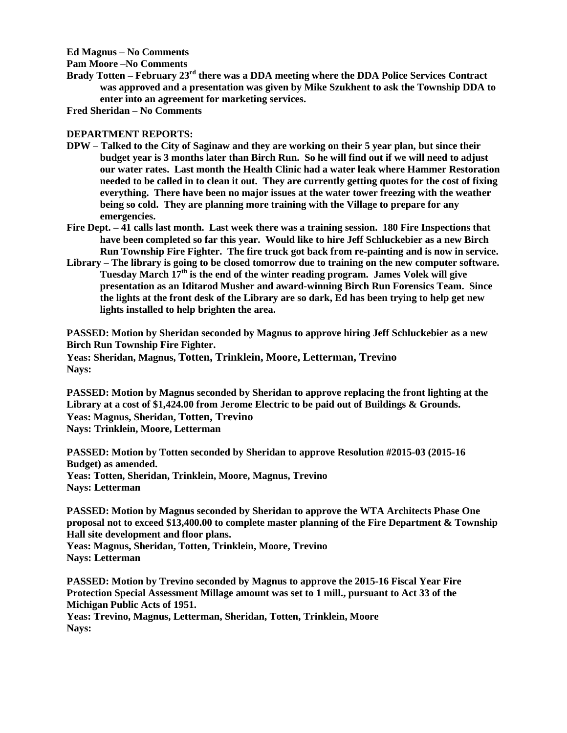**Ed Magnus – No Comments**

**Pam Moore –No Comments**

**Brady Totten – February 23rd there was a DDA meeting where the DDA Police Services Contract was approved and a presentation was given by Mike Szukhent to ask the Township DDA to enter into an agreement for marketing services.**

**Fred Sheridan – No Comments**

## **DEPARTMENT REPORTS:**

- **DPW – Talked to the City of Saginaw and they are working on their 5 year plan, but since their budget year is 3 months later than Birch Run. So he will find out if we will need to adjust our water rates. Last month the Health Clinic had a water leak where Hammer Restoration needed to be called in to clean it out. They are currently getting quotes for the cost of fixing everything. There have been no major issues at the water tower freezing with the weather being so cold. They are planning more training with the Village to prepare for any emergencies.**
- **Fire Dept. – 41 calls last month. Last week there was a training session. 180 Fire Inspections that have been completed so far this year. Would like to hire Jeff Schluckebier as a new Birch Run Township Fire Fighter. The fire truck got back from re-painting and is now in service.**
- **Library – The library is going to be closed tomorrow due to training on the new computer software. Tuesday March 17th is the end of the winter reading program. James Volek will give presentation as an Iditarod Musher and award-winning Birch Run Forensics Team. Since the lights at the front desk of the Library are so dark, Ed has been trying to help get new lights installed to help brighten the area.**

**PASSED: Motion by Sheridan seconded by Magnus to approve hiring Jeff Schluckebier as a new Birch Run Township Fire Fighter. Yeas: Sheridan, Magnus, Totten, Trinklein, Moore, Letterman, Trevino**

**Nays:**

**PASSED: Motion by Magnus seconded by Sheridan to approve replacing the front lighting at the Library at a cost of \$1,424.00 from Jerome Electric to be paid out of Buildings & Grounds. Yeas: Magnus, Sheridan, Totten, Trevino Nays: Trinklein, Moore, Letterman**

**PASSED: Motion by Totten seconded by Sheridan to approve Resolution #2015-03 (2015-16 Budget) as amended. Yeas: Totten, Sheridan, Trinklein, Moore, Magnus, Trevino Nays: Letterman**

**PASSED: Motion by Magnus seconded by Sheridan to approve the WTA Architects Phase One proposal not to exceed \$13,400.00 to complete master planning of the Fire Department & Township Hall site development and floor plans.**

**Yeas: Magnus, Sheridan, Totten, Trinklein, Moore, Trevino Nays: Letterman**

**PASSED: Motion by Trevino seconded by Magnus to approve the 2015-16 Fiscal Year Fire Protection Special Assessment Millage amount was set to 1 mill., pursuant to Act 33 of the Michigan Public Acts of 1951.**

**Yeas: Trevino, Magnus, Letterman, Sheridan, Totten, Trinklein, Moore Nays:**